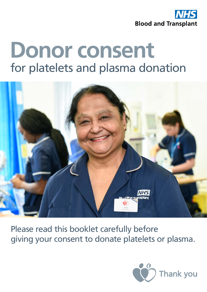

# **Donor consent** for platelets and plasma donation



Please read this booklet carefully before giving your consent to donate platelets or plasma.

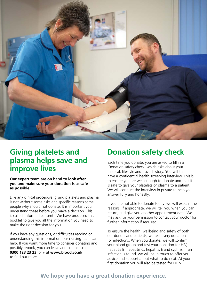

### **Giving platelets and plasma helps save and improve lives**

**Our expert team are on hand to look after you and make sure your donation is as safe as possible.** 

Like any clinical procedure, giving platelets and plasma is not without some risks and specific reasons some people why should not donate. It is important you understand these before you make a decision. This is called 'informed consent'. We have produced this booklet to give you all the information you need to make the right decision for you.

If you have any questions, or difficulties reading or understanding this information, our nursing team can help. If you want more time to consider donating and possibly rebook, you can leave and contact us on **0300 123 23 23**, or visit **www.blood.co.uk** to find out more.

### **Donation safety check**

Each time you donate, you are asked to fill in a 'Donation safety check' which asks about your medical, lifestyle and travel history. You will then have a confidential health screening interview. This is to ensure you are well enough to donate and that it is safe to give your platelets or plasma to a patient. We will conduct the interview in private to help you answer fully and honestly.

If you are not able to donate today, we will explain the reasons. If appropriate, we will tell you when you can return, and give you another appointment date. We may ask for your permission to contact your doctor for further information if required.

To ensure the health, wellbeing and safety of both our donors and patients, we test every donation for infections. When you donate, we will confirm your blood group and test your donation for HIV, hepatitis B, hepatitis C, hepatitis E and syphilis. If an infection is found, we will be in touch to offer you advice and support about what to do next. At your first donation you will also be tested for HTLV.

### **We hope you have a great donation experience.**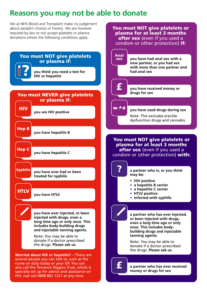### **Reasons you may not be able to donate**

You must NOT give platelets or plasma for at least 3 months

We at NHS Blood and Transplant make no judgement about people's choices or history. We are however required by law to not accept platelets or plasma donations where the following conditions apply.

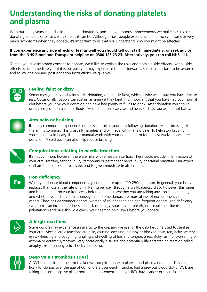### **Understanding the risks of donating platelets and plasma**

With our many years expertise in managing donations, and the continuous improvements we make in clinical care, donating platelets or plasma is as safe as it can be. Although most people experience either no symptoms or very minor symptoms when they donate, it's important to us that you understand how you might be affected.

#### **If you experience any side effects or feel unwell you should tell our staff immediately, or seek advice from the NHS Blood and Transplant helpline on 0300 123 23 23. Alternatively, you can call NHS 111.**

To help you give informed consent to donate, we'd like to explain the risks and possible side effects. Not all side effects occur immediately, but it is possible you may experience them afterwards, so it is important to be aware of and follow the pre and post donation instructions we give you.



#### Feeling faint or dizzy

Sometimes you may feel faint whilst donating, or actually faint, which is why we ensure you have time to rest. Occasionally, people can sustain an injury if they faint. It is important that you have had your normal diet before you give your donation and have had plenty of fluids to drink. After donation you should drink plenty of non-alcoholic fluids. Avoid strenuous exercise and heat, such as saunas and hot baths.



#### Arm pain or bruising

It's fairly common to experience some discomfort in your arm following donation. Minor bruising of the arm is common. This is usually harmless and will fade within a few days. To help stop bruising, you should avoid heavy lifting or manual work with your donation arm for at least twelve hours after donation. A cold pack can also help reduce bruising.



**Fe** 

#### Complications relating to needle insertion

It's not common, however, there are risks with a needle insertion. These could include inflammation of your arm, scarring, tendon injury, temporary or permanent nerve injury or arterial puncture. Our expert staff are trained to keep you safe, and to give immediate treatment if needed.

#### Iron deficiency

When you donate blood components, you could lose up to 200-250mg of iron. In general, your body replaces that loss at the rate of only 1-2 mg per day (through a well-balanced diet). However, this varies and is dependent on your iron levels before donating, whether you are taking any iron supplements, and whether your diet contains enough iron. Some donors are more at risk of iron deficiency than others. They include younger donors, women of childbearing age and frequent donors. Iron deficiency symptoms can include tiredness and lack of energy, shortness of breath, noticeable heartbeats (heart palpitations) and pale skin. We check your haemoglobin levels before you donate.



#### Allergic reactions

Some donors may experience an allergy to the dressing we use, or the chlorhexidine used to sterilise your arm. Most allergic reactions are mild, causing sneezing, a runny or blocked nose, red, itchy, watery eyes, wheezing and coughing, tingling and swelling of lips and tongue, a red, itchy rash, or worsening of asthma or eczema symptoms. Very occasionally a severe and potentially life-threatening reaction called anaphylaxis or anaphylactic shock could occur.



#### Deep vein thrombosis (DVT)

A DVT (blood clot) in the arm is a known complication with platelet and plasma donation. This is more likely for donors over the age of 60, who are overweight, smoke, had a previous blood clot or DVT, are taking the contraceptive pill or hormone replacement therapy (HRT), have cancer or heart failure.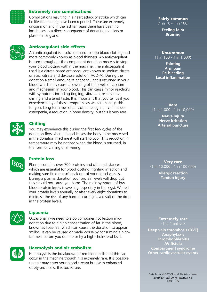#### Extremely rare complications

Complications resulting in a heart attack or stroke which can be life-threatening have been reported. These are extremely uncommon and in the last ten years there have been no incidences as a direct consequence of donating platelets or plasma in England.



#### Anticoagulant side effects

An anticoagulant is a solution used to stop blood clotting and more commonly known as blood thinners. An anticoagulant is used throughout the component donation process to stop your blood clotting within the machine. The anticoagulant used is a citrate-based anticoagulant known as sodium citrate or acid, citrate and dextrose solution (ACD-A). During the donation a small amount of anticoagulant is returned in your blood which may cause a lowering of the levels of calcium and magnesium in your blood. This can cause minor reactions with symptoms including tingling, vibration, restlessness, chilling and altered taste. It is important that you tell us if you experience any of these symptoms as we can manage this for you. Long term side effects of anticoagulant can include osteopenia, a reduction in bone density, but this is very rare.



#### Chilling

You may experience this during the first few cycles of the donation flow. As the blood leaves the body to be processed in the donation machine it will start to cool. This reduction in temperature may be noticed when the blood is returned, in the form of chilling or shivering.



#### Protein loss

Plasma contains over 700 proteins and other substances which are essential for blood clotting, fighting infection and making sure fluid doesn't leak out of your blood vessels. During a plasma donation your protein levels will drop but this should not cause you harm. The main symptom of low blood protein levels is swelling (especially in the legs). We test your protein levels annually or after every eight donations to minimise the risk of any harm occurring as a result of the drop in the protein levels.



#### Lipaemia

Occasionally we need to stop component collection middonation due to a high concentration of fat in the blood, known as lipaemia, which can cause the donation to appear 'milky'. It can be caused or made worse by consuming a highfat meal before you donate or by a high cholesterol level.



#### Haemolysis and air embolism

Haemolysis is the breakdown of red blood cells and this can occur in the machine though it is extremely rare. It is possible that air may enter your blood stream but, with enhanced safety protocols, this too is rare.

#### Fairly common (1 in 10 - 1 in 100)

**Feeling faint Bruising**

#### Uncommon (1 in 100 - 1 in 1,000)

**Fainting Arm pain Re-bleeding Local inflammation**

Rare (1 in 1,000 - 1 in 10,000)

> **Nerve injury Nerve irritation Arterial puncture**

#### Very rare (1 in 10,000 - 1 in 100,000)

**Allergic reaction Tendon injury**

Extremely rare

**Deep vein thrombosis (DVT) Anaphylaxis Thrombophlebitis AV fistula Compartment syndrome Other cardiovascular events**

Data from NHSBT Clinical Statistics team. 2019/20 Total donor attendance: 1,401,185.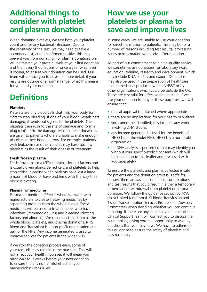### **Additional things to consider with platelet and plasma donation**

When donating platelets, we test both your platelet count and for any bacterial infections. Due to the sensitivity of the test, we may need to take a secondary test, and if confirmed positive this may prevent you from donating. For plasma donations we will be testing your protein levels at your first donation and then every 8 donations or once a year whichever is sooner, to ensure your donation can be used. Our team will contact you to advise in more detail, if your results are outside of a normal range, what this means for you and your donation.

## **Definitions**

#### **Platelets**

Platelets are tiny blood cells that help your body form clots to stop bleeding. If one of your blood vessels gets damaged, it sends out signals to the platelets. The platelets then rush to the site of damage and form a plug (clot) to fix the damage. Most platelet donations are given to patients who are unable to make enough platelets in their bone marrow. For example, patients with leukaemia or other cancers may have too few platelets as the result of their disease or treatment.

#### **Fresh frozen plasma**

Fresh frozen plasma (FFP) contains clotting factors and is usually given alongside red cells and platelets to help stop critical bleeding when patients have lost a large amount of blood or have problems with the way their blood is clotting.

#### **Plasma for medicine**

Plasma for medicine (PFM) is where we work with manufacturers to create lifesaving medicines by separating proteins from the whole blood. These medicines will be used to treat patients who have infections (immunoglobulins) and bleeding (clotting factors and albumin). We can collect this from all the whole blood, platelets, and plasma donations. NHS Blood and Transplant is a non-profit organisation and part of the NHS. Any income generated is used to improve services for patients in the wider NHS.

If we stop the donation process early, some of your red cells may remain in the machine. This will not affect your health; however, it will mean you must wait four weeks before your next donation to ensure there is no harmful effect on your haemoglobin (iron) levels.

### **How we use your platelets or plasma to save and improve lives**

In some cases, we are unable to use your donation for direct transfusion to patients. This may be for a number of reasons including test results, processing issues or information we receive after donation.

As part of our commitment to a high-quality service, we sometimes use donations for laboratory work, education, training, research and development, which may include DNA studies and export. Donations may also be used in the preparation of healthcare related medicinal products, within NHSBT or by other organisations which could be outside the UK. These are essential for effective patient care. If we use your donation for any of these purposes, we will ensure that:

- ethical approval is obtained where appropriate
- there are no implications for your health or welfare
- you cannot be identified; this includes any work involving DNA studies
- any income generated is used for the benefit of NHSBT and the wider NHS. NHSBT is a non-profit organisation
- no DNA analysis is performed that may identify you without your specific/explicit consent (which will be in addition to this leaflet and discussed with you separately)

To ensure the platelets and plasma collected is safe for patients and the donation process is safe for donors, there are several conditions, complications and test results that could result in either a temporary or permanent withdrawal from platelet or plasma donation. We follow the guidance set out by JPAC (Joint United Kingdom (UK) Blood Transfusion and Tissue Transplantation Services Professional Advisory Committee) when deciding whether you can continue donating. If there are any concerns a member of our Clinical Support Team will contact you to discuss the issue further, giving you the opportunity to ask any questions that you may have. We have to adhere to this guidance to ensure the safety of platelets and plasma supply.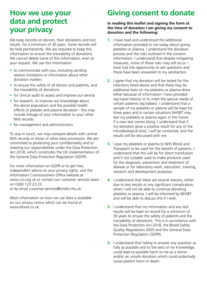### **How we use your data and protect your privacy**

We keep records on donors, their donations and test results, for a minimum of 30 years. Some records will be held permanently. We are required to keep this information to ensure the traceability of donations. We cannot delete some of this information, even at your request. We use this information:

- to communicate with you, including sending session invitations or information about other donation matters
- to ensure the safety of all donors and patients, and the traceability of donations
- for clinical audit to assess and improve our service
- for research, to improve our knowledge about the donor population and the possible health effects of platelet and plasma donation - this may include linkage of your information to your other NHS records
- for management and administration

To stay in touch, we may compare details with central NHS records or those of other data processors. We are committed to protecting your confidentiality and to meeting our responsibilities under the Data Protection Act 2018, which constitutes the UK implementation of the General Data Protection Regulation (GDPR).

For more information on GDPR or to get free. independent advice on your privacy rights, visit the Information Commissioners Office website at www.ico.org.uk or contact our customer services team on 0300 123 23 23 or by email customer.services@nhsbt.nhs.uk.

More information on how we use data is available on our privacy notice which can be found at www.blood.co.uk.

### **Giving consent to donate**

#### **In reading this leaflet and signing the form at the time of donation I am giving my consent to donation and the following:**

- **1.** I have read and understood the additional information provided to me today about giving platelets or plasma. I understand the donation process and the risks outlined in the consent information. I understand that despite mitigating measures, some of these risks may still occur. I have had the opportunity to ask questions and these have been answered to my satisfaction.
- **2.** I agree that my donation will be tested for the infections listed above and that there may be additional tests on my platelets or plasma done either because of information I have provided (eg travel history) or to meet the special needs of certain patients (eg babies). I understand that a sample of my platelets or plasma will be kept for three years and in certain situations NHSBT may test my platelets or plasma again in the future if a new test comes along. I understand that if my donation gives a positive result for any of the microbiological tests, I will be contacted, and the results will be discussed with me.
- **3.** I give my platelets or plasma to NHS Blood and Transplant to be used for the benefit of patients. I understand that this will be for direct transfusion and if not suitable used to make products used for the diagnosis, prevention and treatment of disease or for laboratory work, education, training, research and development purposes.
- **4.** I understand that there are several reasons, either due to test results or any significant complication, when I will not be able to continue donating platelets or plasma. I will be informed by NHSBT and will be able to discuss this if I wish.
- **5.** I understand that my information and any test results will be kept on record for a minimum of 30 years to ensure the safety of patients and the traceability of donations. This is in accordance with the Data Protection Act 2018, the Blood Safety Quality Regulations 2005 and the General Data Protection Regulation (GDPR).
- **6.** I understand that failing to answer any question as fully as possible and to the best of my knowledge, could lead to possible harm to me as a donor and/or an unsafe donation which could potentially cause patient harm or death.